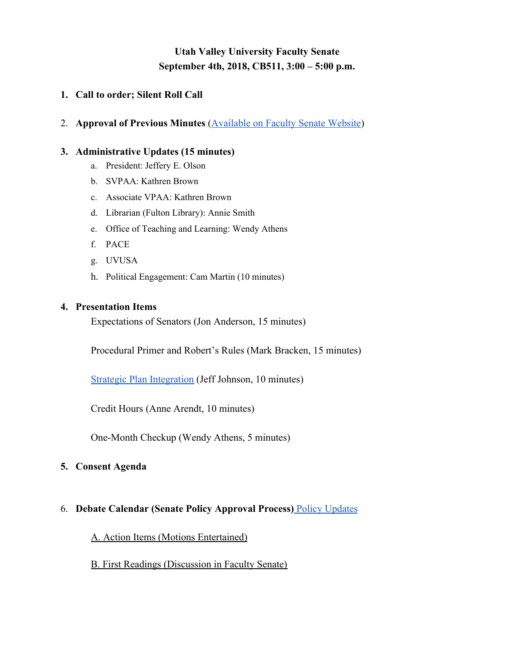## **Utah Valley University Faculty Senate September 4th, 2018, CB511, 3:00 – 5:00 p.m.**

## **1. Call to order; Silent Roll Call**

2. **Approval of Previous Minutes** [\(Available on Faculty Senate Website](http://www.uvu.edu/facsenate/minutes/index.html))

#### **3. Administrative Updates (15 minutes)**

- a. President: Jeffery E. Olson
- b. SVPAA: Kathren Brown
- c. Associate VPAA: Kathren Brown
- d. Librarian (Fulton Library): Annie Smith
- e. Office of Teaching and Learning: Wendy Athens
- f. PACE
- g. UVUSA
- h. Political Engagement: Cam Martin (10 minutes)

#### **4. Presentation Items**

Expectations of Senators (Jon Anderson, 15 minutes)

Procedural Primer and Robert's Rules (Mark Bracken, 15 minutes)

[Strategic Plan Integration](https://www.uvu.edu/insteffect/docs/uvu_strategic_planning_integration.pdf) (Jeff Johnson, 10 minutes)

Credit Hours (Anne Arendt, 10 minutes)

One-Month Checkup (Wendy Athens, 5 minutes)

## **5. Consent Agenda**

## 6. **Debate Calendar (Senate Policy Approval Process)** [Policy Updates](https://docs.google.com/spreadsheets/d/1ogUOTkybP9_EBAc8SQE8kPQCDdWt1J8k9rRKaPPWX5Y/edit#gid=0)

A. Action Items (Motions Entertained)

B. First Readings (Discussion in Faculty Senate)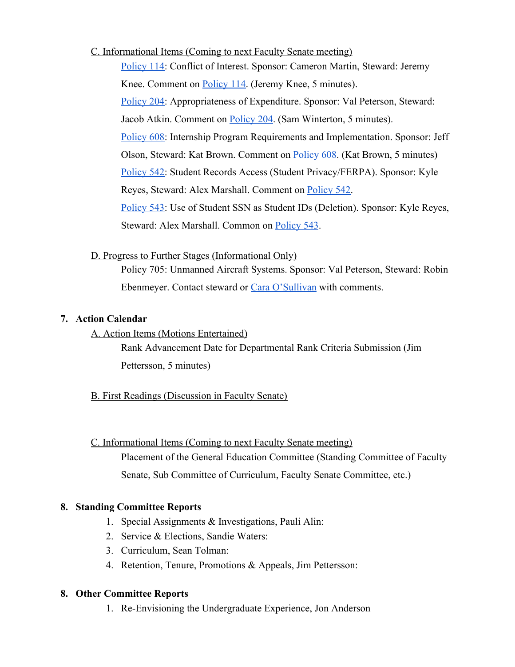C. Informational Items (Coming to next Faculty Senate meeting)

[Policy 114:](https://policy.uvu.edu/getDisplayFile/5750edfc97e4c89872d95667) Conflict of Interest. Sponsor: Cameron Martin, Steward: Jeremy Knee. Comment on [Policy 114](https://docs.google.com/document/d/12rHjw8oK4n8NpUW5D0kdzkTm3p8gmB0p8SRM-X5VCsA/edit?usp=sharing). (Jeremy Knee, 5 minutes). [Policy 204:](https://policy.uvu.edu/getDisplayFile/5750f3b597e4c89872d95677) Appropriateness of Expenditure. Sponsor: Val Peterson, Steward: Jacob Atkin. Comment on **Policy 204**. (Sam Winterton, 5 minutes). [Policy 608:](https://policy.uvu.edu/getDisplayFile/59a85ccf568009ec588136ff) Internship Program Requirements and Implementation. Sponsor: Jeff Olson, Steward: Kat Brown. Comment on [Policy 608](https://docs.google.com/document/d/104BaCgzE6enwdXVG_xb14-eBJ6YpTWscXfeSr41FhMA/edit?usp=sharing). (Kat Brown, 5 minutes) [Policy 542:](https://policy.uvu.edu/getDisplayFile/59f24d4f02c8709e04dcd10f) Student Records Access (Student Privacy/FERPA). Sponsor: Kyle Reyes, Steward: Alex Marshall. Comment on [Policy 542.](https://docs.google.com/document/d/1D6YCH3nnrOo2U54VVy0ySAQg8YZA0V1Wx5x5Jgpi-RI/edit?usp=sharing) [Policy 543:](https://policy.uvu.edu/getDisplayFile/59f24de302c8709e04dcd111) Use of Student SSN as Student IDs (Deletion). Sponsor: Kyle Reyes, Steward: Alex Marshall. Common on [Policy 543.](https://docs.google.com/document/d/19r-GR9-CAoFt_4jFVRNjoGydl0iuCG8PCVKQSqgySQ8/edit?usp=sharing)

D. Progress to Further Stages (Informational Only)

Policy 705: Unmanned Aircraft Systems. Sponsor: Val Peterson, Steward: Robin Ebenmeyer. Contact steward or [Cara O'Sullivan](mailto:Cara.OSullivan@uvu.edu) with comments.

## **7. Action Calendar**

A. Action Items (Motions Entertained)

Rank Advancement Date for Departmental Rank Criteria Submission (Jim Pettersson, 5 minutes)

## B. First Readings (Discussion in Faculty Senate)

C. Informational Items (Coming to next Faculty Senate meeting) Placement of the General Education Committee (Standing Committee of Faculty Senate, Sub Committee of Curriculum, Faculty Senate Committee, etc.)

## **8. Standing Committee Reports**

- 1. Special Assignments & Investigations, Pauli Alin:
- 2. Service & Elections, Sandie Waters:
- 3. Curriculum, Sean Tolman:
- 4. Retention, Tenure, Promotions & Appeals, Jim Pettersson:

## **8. Other Committee Reports**

1. Re-Envisioning the Undergraduate Experience, Jon Anderson